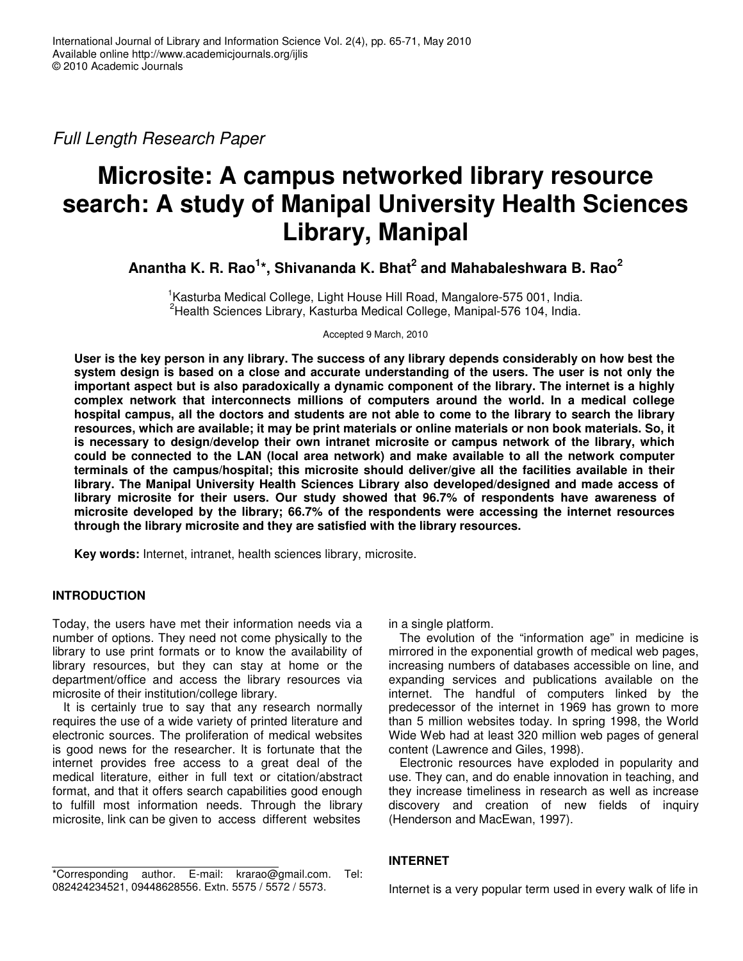*Full Length Research Paper*

# **Microsite: A campus networked library resource search: A study of Manipal University Health Sciences Library, Manipal**

**Anantha K. R. Rao 1 \*, Shivananda K. Bhat 2 and Mahabaleshwara B. Rao 2**

<sup>1</sup>Kasturba Medical College, Light House Hill Road, Mangalore-575 001, India. <sup>2</sup>Health Sciences Library, Kasturba Medical College, Manipal-576 104, India.

Accepted 9 March, 2010

User is the key person in any library. The success of any library depends considerably on how best the system design is based on a close and accurate understanding of the users. The user is not only the **important aspect but is also paradoxically a dynamic component of the library. The internet is a highly complex network that interconnects millions of computers around the world. In a medical college** hospital campus, all the doctors and students are not able to come to the library to search the library resources, which are available; it may be print materials or online materials or non book materials. So, it **is necessary to design/develop their own intranet microsite or campus network of the library, which could be connected to the LAN (local area network) and make available to all the network computer terminals of the campus/hospital; this microsite should deliver/give all the facilities available in their library. The Manipal University Health Sciences Library also developed/designed and made access of library microsite for their users. Our study showed that 96.7% of respondents have awareness of microsite developed by the library; 66.7% of the respondents were accessing the internet resources through the library microsite and they are satisfied with the library resources.**

**Key words:** Internet, intranet, health sciences library, microsite.

# **INTRODUCTION**

Today, the users have met their information needs via a number of options. They need not come physically to the library to use print formats or to know the availability of library resources, but they can stay at home or the department/office and access the library resources via microsite of their institution/college library.

It is certainly true to say that any research normally requires the use of a wide variety of printed literature and electronic sources. The proliferation of medical websites is good news for the researcher. It is fortunate that the internet provides free access to a great deal of the medical literature, either in full text or citation/abstract format, and that it offers search capabilities good enough to fulfill most information needs. Through the library microsite, link can be given to access different websites

\*Corresponding author. E-mail: krarao@gmail.com. Tel: 082424234521, 09448628556. Extn. 5575 / 5572 / 5573.

in a single platform.

The evolution of the "information age" in medicine is mirrored in the exponential growth of medical web pages, increasing numbers of databases accessible on line, and expanding services and publications available on the internet. The handful of computers linked by the predecessor of the internet in 1969 has grown to more than 5 million websites today. In spring 1998, the World Wide Web had at least 320 million web pages of general content (Lawrence and Giles, 1998).

Electronic resources have exploded in popularity and use. They can, and do enable innovation in teaching, and they increase timeliness in research as well as increase discovery and creation of new fields of inquiry (Henderson and MacEwan, 1997).

# **INTERNET**

Internet is a very popular term used in every walk of life in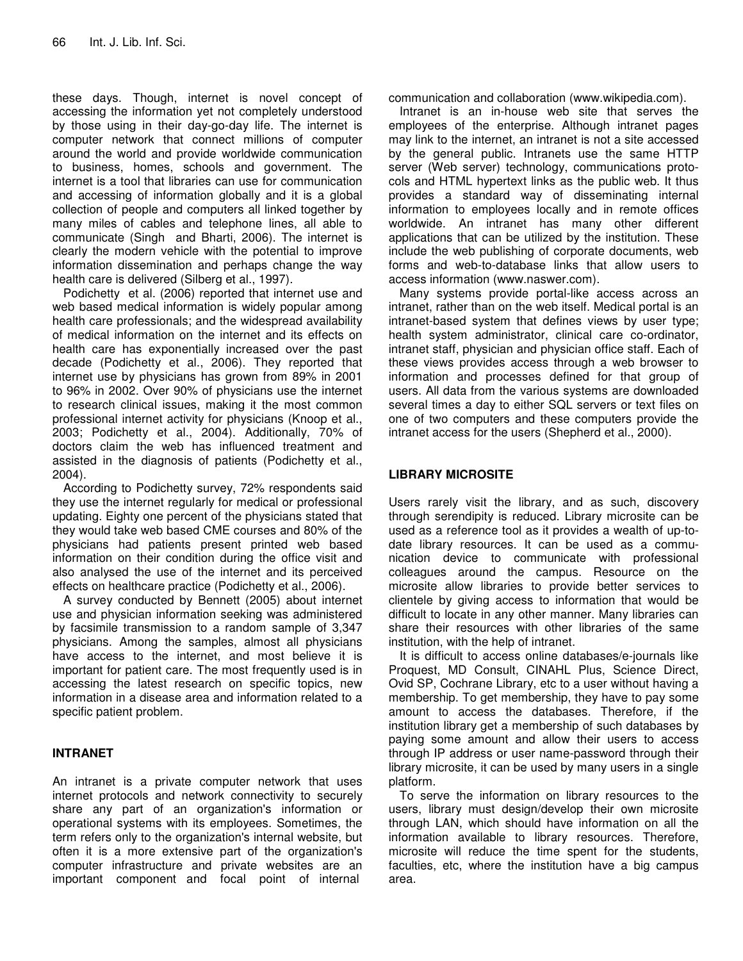these days. Though, internet is novel concept of accessing the information yet not completely understood by those using in their day-go-day life. The internet is computer network that connect millions of computer around the world and provide worldwide communication to business, homes, schools and government. The internet is a tool that libraries can use for communication and accessing of information globally and it is a global collection of people and computers all linked together by many miles of cables and telephone lines, all able to communicate (Singh and Bharti, 2006). The internet is clearly the modern vehicle with the potential to improve information dissemination and perhaps change the way health care is delivered (Silberg et al., 1997).

Podichetty et al. (2006) reported that internet use and web based medical information is widely popular among health care professionals; and the widespread availability of medical information on the internet and its effects on health care has exponentially increased over the past decade (Podichetty et al., 2006). They reported that internet use by physicians has grown from 89% in 2001 to 96% in 2002. Over 90% of physicians use the internet to research clinical issues, making it the most common professional internet activity for physicians (Knoop et al., 2003; Podichetty et al., 2004). Additionally, 70% of doctors claim the web has influenced treatment and assisted in the diagnosis of patients (Podichetty et al., 2004).

According to Podichetty survey, 72% respondents said they use the internet regularly for medical or professional updating. Eighty one percent of the physicians stated that they would take web based CME courses and 80% of the physicians had patients present printed web based information on their condition during the office visit and also analysed the use of the internet and its perceived effects on healthcare practice (Podichetty et al., 2006).

A survey conducted by Bennett (2005) about internet use and physician information seeking was administered by facsimile transmission to a random sample of 3,347 physicians. Among the samples, almost all physicians have access to the internet, and most believe it is important for patient care. The most frequently used is in accessing the latest research on specific topics, new information in a disease area and information related to a specific patient problem.

# **INTRANET**

An intranet is a private computer network that uses internet protocols and network connectivity to securely share any part of an organization's information or operational systems with its employees. Sometimes, the term refers only to the organization's internal website, but often it is a more extensive part of the organization's computer infrastructure and private websites are an important component and focal point of internal

communication and collaboration (www.wikipedia.com).

Intranet is an in-house web site that serves the employees of the enterprise. Although intranet pages may link to the internet, an intranet is not a site accessed by the general public. Intranets use the same HTTP server (Web server) technology, communications protocols and HTML hypertext links as the public web. It thus provides a standard way of disseminating internal information to employees locally and in remote offices worldwide. An intranet has many other different applications that can be utilized by the institution. These include the web publishing of corporate documents, web forms and web-to-database links that allow users to access information (www.naswer.com).

Many systems provide portal-like access across an intranet, rather than on the web itself. Medical portal is an intranet-based system that defines views by user type; health system administrator, clinical care co-ordinator, intranet staff, physician and physician office staff. Each of these views provides access through a web browser to information and processes defined for that group of users. All data from the various systems are downloaded several times a day to either SQL servers or text files on one of two computers and these computers provide the intranet access for the users (Shepherd et al., 2000).

# **LIBRARY MICROSITE**

Users rarely visit the library, and as such, discovery through serendipity is reduced. Library microsite can be used as a reference tool as it provides a wealth of up-todate library resources. It can be used as a communication device to communicate with professional colleagues around the campus. Resource on the microsite allow libraries to provide better services to clientele by giving access to information that would be difficult to locate in any other manner. Many libraries can share their resources with other libraries of the same institution, with the help of intranet.

It is difficult to access online databases/e-journals like Proquest, MD Consult, CINAHL Plus, Science Direct, Ovid SP, Cochrane Library, etc to a user without having a membership. To get membership, they have to pay some amount to access the databases. Therefore, if the institution library get a membership of such databases by paying some amount and allow their users to access through IP address or user name-password through their library microsite, it can be used by many users in a single platform.

To serve the information on library resources to the users, library must design/develop their own microsite through LAN, which should have information on all the information available to library resources. Therefore, microsite will reduce the time spent for the students, faculties, etc, where the institution have a big campus area.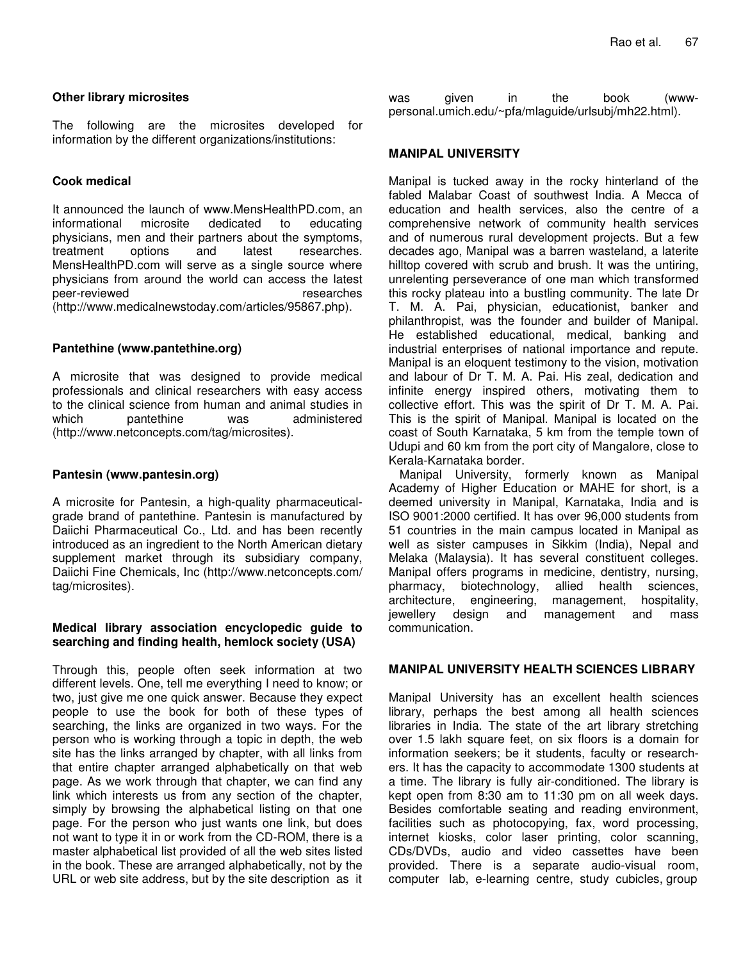# **Other library microsites**

The following are the microsites developed for information by the different organizations/institutions:

# **Cook medical**

It announced the launch of www.MensHealthPD.com, an informational microsite dedicated to educating physicians, men and their partners about the symptoms, treatment options and latest researches. MensHealthPD.com will serve as a single source where physicians from around the world can access the latest peer-reviewed researches (http://www.medicalnewstoday.com/articles/95867.php).

# **Pantethine (www.pantethine.org)**

A microsite that was designed to provide medical professionals and clinical researchers with easy access to the clinical science from human and animal studies in which pantethine was administered (http://www.netconcepts.com/tag/microsites).

# **Pantesin (www.pantesin.org)**

A microsite for Pantesin, a high-quality pharmaceuticalgrade brand of pantethine. Pantesin is manufactured by Daiichi Pharmaceutical Co., Ltd. and has been recently introduced as an ingredient to the North American dietary supplement market through its subsidiary company, Daiichi Fine Chemicals, Inc (http://www.netconcepts.com/ tag/microsites).

# **Medical library association encyclopedic guide to searching and finding health, hemlock society (USA)**

Through this, people often seek information at two different levels. One, tell me everything I need to know; or two, just give me one quick answer. Because they expect people to use the book for both of these types of searching, the links are organized in two ways. For the person who is working through a topic in depth, the web site has the links arranged by chapter, with all links from that entire chapter arranged alphabetically on that web page. As we work through that chapter, we can find any link which interests us from any section of the chapter, simply by browsing the alphabetical listing on that one page. For the person who just wants one link, but does not want to type it in or work from the CD-ROM, there is a master alphabetical list provided of all the web sites listed in the book. These are arranged alphabetically, not by the URL or web site address, but by the site description as it

was given in the book (wwwpersonal.umich.edu/~pfa/mlaguide/urlsubj/mh22.html).

# **MANIPAL UNIVERSITY**

Manipal is tucked away in the rocky hinterland of the fabled Malabar Coast of southwest India. A Mecca of education and health services, also the centre of a comprehensive network of community health services and of numerous rural development projects. But a few decades ago, Manipal was a barren wasteland, a laterite hilltop covered with scrub and brush. It was the untiring, unrelenting perseverance of one man which transformed this rocky plateau into a bustling community. The late Dr T. M. A. Pai, physician, educationist, banker and philanthropist, was the founder and builder of Manipal. He established educational, medical, banking and industrial enterprises of national importance and repute. Manipal is an eloquent testimony to the vision, motivation and labour of Dr T. M. A. Pai. His zeal, dedication and infinite energy inspired others, motivating them to collective effort. This was the spirit of Dr T. M. A. Pai. This is the spirit of Manipal. Manipal is located on the coast of South Karnataka, 5 km from the temple town of Udupi and 60 km from the port city of Mangalore, close to Kerala-Karnataka border.

Manipal University, formerly known as Manipal Academy of Higher Education or MAHE for short, is a deemed university in Manipal, Karnataka, India and is ISO 9001:2000 certified. It has over 96,000 students from 51 countries in the main campus located in Manipal as well as sister campuses in Sikkim (India), Nepal and Melaka (Malaysia). It has several constituent colleges. Manipal offers programs in medicine, dentistry, nursing, pharmacy, biotechnology, allied health sciences, architecture, engineering, management, hospitality, jewellery design and management and mass communication.

# **MANIPAL UNIVERSITY HEALTH SCIENCES LIBRARY**

Manipal University has an excellent health sciences library, perhaps the best among all health sciences libraries in India. The state of the art library stretching over 1.5 lakh square feet, on six floors is a domain for information seekers; be it students, faculty or researchers. It has the capacity to accommodate 1300 students at a time. The library is fully air-conditioned. The library is kept open from 8:30 am to 11:30 pm on all week days. Besides comfortable seating and reading environment, facilities such as photocopying, fax, word processing, internet kiosks, color laser printing, color scanning, CDs/DVDs, audio and video cassettes have been provided. There is a separate audio-visual room. computer lab, e-learning centre, study cubicles, group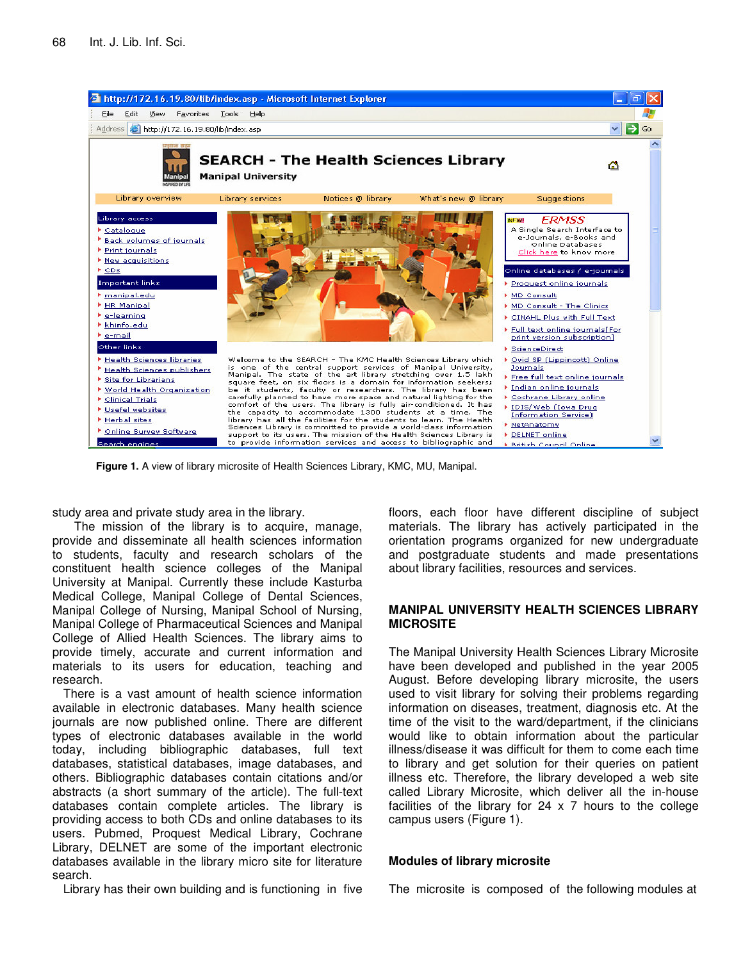

**Figure 1.** A view of library microsite of Health Sciences Library, KMC, MU, Manipal.

study area and private study area in the library.

The mission of the library is to acquire, manage, provide and disseminate all health sciences information to students, faculty and research scholars of the constituent health science colleges of the Manipal University at Manipal. Currently these include Kasturba Medical College, Manipal College of Dental Sciences, Manipal College of Nursing, Manipal School of Nursing, Manipal College of Pharmaceutical Sciences and Manipal College of Allied Health Sciences. The library aims to provide timely, accurate and current information and materials to its users for education, teaching and research.

There is a vast amount of health science information available in electronic databases. Many health science journals are now published online. There are different types of electronic databases available in the world today, including bibliographic databases, full text databases, statistical databases, image databases, and others. Bibliographic databases contain citations and/or abstracts (a short summary of the article). The full-text databases contain complete articles. The library is providing access to both CDs and online databases to its users. Pubmed, Proquest Medical Library, Cochrane Library, DELNET are some of the important electronic databases available in the library micro site for literature search.

Library has their own building and is functioning in five

floors, each floor have different discipline of subject materials. The library has actively participated in the orientation programs organized for new undergraduate and postgraduate students and made presentations about library facilities, resources and services.

### **MANIPAL UNIVERSITY HEALTH SCIENCES LIBRARY MICROSITE**

The Manipal University Health Sciences Library Microsite have been developed and published in the year 2005 August. Before developing library microsite, the users used to visit library for solving their problems regarding information on diseases, treatment, diagnosis etc. At the time of the visit to the ward/department, if the clinicians would like to obtain information about the particular illness/disease it was difficult for them to come each time to library and get solution for their queries on patient illness etc. Therefore, the library developed a web site called Library Microsite, which deliver all the in-house facilities of the library for  $24 \times 7$  hours to the college campus users (Figure 1).

#### **Modules of library microsite**

The microsite is composed of the following modules at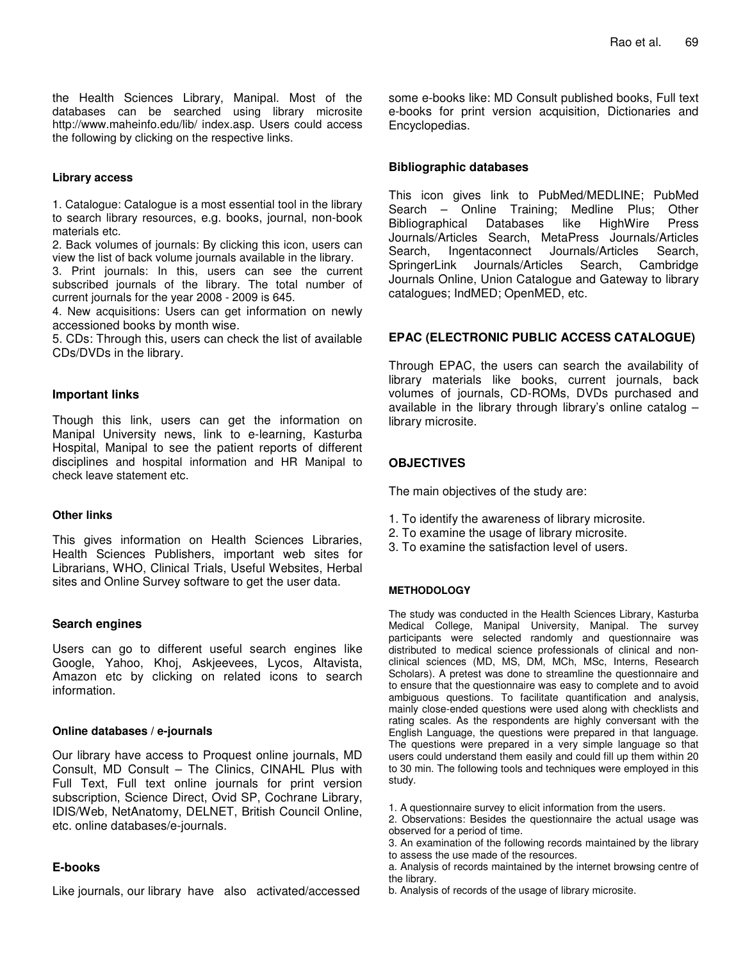the Health Sciences Library, Manipal. Most of the databases can be searched using library microsite http://www.maheinfo.edu/lib/ index.asp. Users could access the following by clicking on the respective links.

#### **Library access**

1. Catalogue: Catalogue is a most essential tool in the library to search library resources, e.g. books, journal, non-book materials etc.

2. Back volumes of journals: By clicking this icon, users can view the list of back volume journals available in the library.

3. Print journals: In this, users can see the current subscribed journals of the library. The total number of current journals for the year 2008 - 2009 is 645.

4. New acquisitions: Users can get information on newly accessioned books by month wise.

5. CDs: Through this, users can check the list of available CDs/DVDs in the library.

#### **Important links**

Though this link, users can get the information on Manipal University news, link to e-learning, Kasturba Hospital, Manipal to see the patient reports of different disciplines and hospital information and HR Manipal to check leave statement etc.

#### **Other links**

This gives information on Health Sciences Libraries, Health Sciences Publishers, important web sites for Librarians, WHO, Clinical Trials, Useful Websites, Herbal sites and Online Survey software to get the user data.

#### **Search engines**

Users can go to different useful search engines like Google, Yahoo, Khoj, Askjeevees, Lycos, Altavista, Amazon etc by clicking on related icons to search information.

#### **Online databases / e-journals**

Our library have access to Proquest online journals, MD Consult, MD Consult – The Clinics, CINAHL Plus with Full Text, Full text online journals for print version subscription, Science Direct, Ovid SP, Cochrane Library, IDIS/Web, NetAnatomy, DELNET, British Council Online, etc. online databases/e-journals.

# **E-books**

Like journals, our library have also activated/accessed

some e-books like: MD Consult published books, Full text e-books for print version acquisition, Dictionaries and Encyclopedias.

#### **Bibliographic databases**

This icon gives link to PubMed/MEDLINE; PubMed Search – Online Training; Medline Plus; Other Bibliographical Databases like HighWire Press Journals/Articles Search, MetaPress Journals/Articles Search, Ingentaconnect Journals/Articles Search, SpringerLink Journals/Articles Search, Cambridge Journals Online, Union Catalogue and Gateway to library catalogues; IndMED; OpenMED, etc.

## **EPAC (ELECTRONIC PUBLIC ACCESS CATALOGUE)**

Through EPAC, the users can search the availability of library materials like books, current journals, back volumes of journals, CD-ROMs, DVDs purchased and available in the library through library's online catalog – library microsite.

# **OBJECTIVES**

The main objectives of the study are:

- 1. To identify the awareness of library microsite.
- 2. To examine the usage of library microsite.
- 3. To examine the satisfaction level of users.

#### **METHODOLOGY**

The study was conducted in the Health Sciences Library, Kasturba Medical College, Manipal University, Manipal. The survey participants were selected randomly and questionnaire was distributed to medical science professionals of clinical and nonclinical sciences (MD, MS, DM, MCh, MSc, Interns, Research Scholars). A pretest was done to streamline the questionnaire and to ensure that the questionnaire was easy to complete and to avoid ambiguous questions. To facilitate quantification and analysis, mainly close-ended questions were used along with checklists and rating scales. As the respondents are highly conversant with the English Language, the questions were prepared in that language. The questions were prepared in a very simple language so that users could understand them easily and could fill up them within 20 to 30 min. The following tools and techniques were employed in this study.

- 1. A questionnaire survey to elicit information from the users.
- 2. Observations: Besides the questionnaire the actual usage was observed for a period of time.
- 3. An examination of the following records maintained by the library to assess the use made of the resources.

b. Analysis of records of the usage of library microsite.

a. Analysis of records maintained by the internet browsing centre of the library.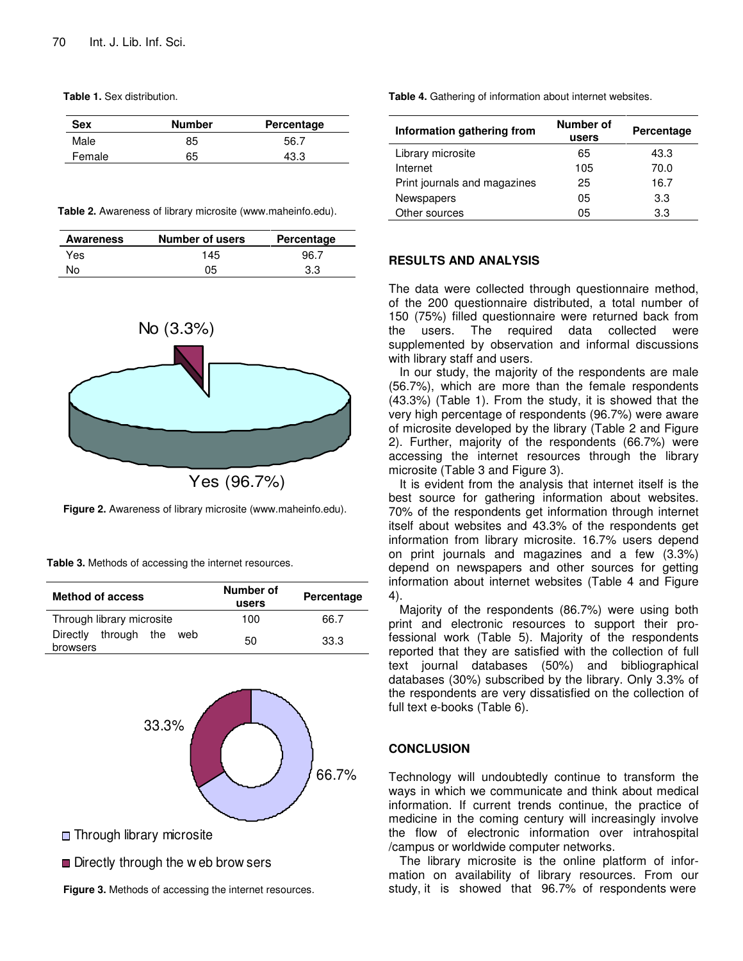**Table 1.** Sex distribution.

| <b>Sex</b> | <b>Number</b> | Percentage |
|------------|---------------|------------|
| Male       | 85            | 56.7       |
| Female     | 65            | 43.3       |

**Table 2.** Awareness of library microsite (www.maheinfo.edu).

| Awareness | Number of users | Percentage |
|-----------|-----------------|------------|
| Yes       | 145             | 96.7       |
| No        | 05              | 3.3        |



**Figure 2.** Awareness of library microsite (www.maheinfo.edu).

**Table 3.** Methods of accessing the internet resources.

| <b>Method of access</b>                    | Number of<br>users | Percentage |
|--------------------------------------------|--------------------|------------|
| Through library microsite                  | 100                | 66.7       |
| through the<br>Directly<br>web<br>browsers | 50                 | 33.3       |



- **□** Through library microsite
- **■** Directly through the w eb brow sers

**Figure 3.** Methods of accessing the internet resources.

**Table 4.** Gathering of information about internet websites.

| Information gathering from   | Number of<br>users | Percentage |
|------------------------------|--------------------|------------|
| Library microsite            | 65                 | 43.3       |
| Internet                     | 105                | 70.0       |
| Print journals and magazines | 25                 | 16.7       |
| Newspapers                   | 05                 | 3.3        |
| Other sources                | 05                 | 3.3        |

# **RESULTS AND ANALYSIS**

The data were collected through questionnaire method, of the 200 questionnaire distributed, a total number of 150 (75%) filled questionnaire were returned back from the users. The required data collected were supplemented by observation and informal discussions with library staff and users.

In our study, the majority of the respondents are male (56.7%), which are more than the female respondents (43.3%) (Table 1). From the study, it is showed that the very high percentage of respondents (96.7%) were aware of microsite developed by the library (Table 2 and Figure 2). Further, majority of the respondents (66.7%) were accessing the internet resources through the library microsite (Table 3 and Figure 3).

It is evident from the analysis that internet itself is the best source for gathering information about websites. 70% of the respondents get information through internet itself about websites and 43.3% of the respondents get information from library microsite. 16.7% users depend on print journals and magazines and a few (3.3%) depend on newspapers and other sources for getting information about internet websites (Table 4 and Figure 4).

Majority of the respondents (86.7%) were using both print and electronic resources to support their professional work (Table 5). Majority of the respondents reported that they are satisfied with the collection of full text journal databases (50%) and bibliographical databases (30%) subscribed by the library. Only 3.3% of the respondents are very dissatisfied on the collection of full text e-books (Table 6).

## **CONCLUSION**

Technology will undoubtedly continue to transform the ways in which we communicate and think about medical information. If current trends continue, the practice of medicine in the coming century will increasingly involve the flow of electronic information over intrahospital /campus or worldwide computer networks.

The library microsite is the online platform of information on availability of library resources. From our study, it is showed that 96.7% of respondents were